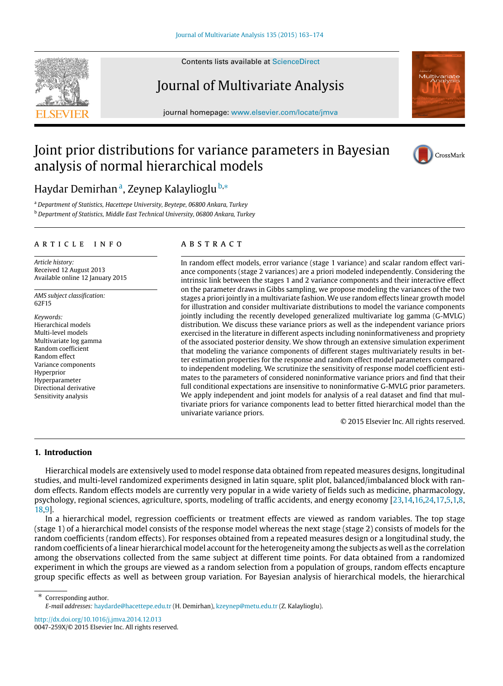

Contents lists available at [ScienceDirect](http://www.elsevier.com/locate/jmva)

# Journal of Multivariate Analysis

journal homepage: [www.elsevier.com/locate/jmva](http://www.elsevier.com/locate/jmva)

# Joint prior distributions for variance parameters in Bayesian analysis of normal hierarchical models



H[a](#page-0-0)ydar Demirhan<sup>a</sup>, Zeynep Kalaylioglu <sup>[b,](#page-0-1)</sup>\*

<span id="page-0-1"></span><span id="page-0-0"></span><sup>a</sup> *Department of Statistics, Hacettepe University, Beytepe, 06800 Ankara, Turkey* <sup>b</sup> *Department of Statistics, Middle East Technical University, 06800 Ankara, Turkey*

## a r t i c l e i n f o

*Article history:* Received 12 August 2013 Available online 12 January 2015

*AMS subject classification:* 62F15

*Keywords:* Hierarchical models Multi-level models Multivariate log gamma Random coefficient Random effect Variance components Hyperprior Hyperparameter Directional derivative Sensitivity analysis

# a b s t r a c t

In random effect models, error variance (stage 1 variance) and scalar random effect variance components (stage 2 variances) are a priori modeled independently. Considering the intrinsic link between the stages 1 and 2 variance components and their interactive effect on the parameter draws in Gibbs sampling, we propose modeling the variances of the two stages a priori jointly in a multivariate fashion. We use random effects linear growth model for illustration and consider multivariate distributions to model the variance components jointly including the recently developed generalized multivariate log gamma (G-MVLG) distribution. We discuss these variance priors as well as the independent variance priors exercised in the literature in different aspects including noninformativeness and propriety of the associated posterior density. We show through an extensive simulation experiment that modeling the variance components of different stages multivariately results in better estimation properties for the response and random effect model parameters compared to independent modeling. We scrutinize the sensitivity of response model coefficient estimates to the parameters of considered noninformative variance priors and find that their full conditional expectations are insensitive to noninformative G-MVLG prior parameters. We apply independent and joint models for analysis of a real dataset and find that multivariate priors for variance components lead to better fitted hierarchical model than the univariate variance priors.

© 2015 Elsevier Inc. All rights reserved.

# <span id="page-0-3"></span>**1. Introduction**

Hierarchical models are extensively used to model response data obtained from repeated measures designs, longitudinal studies, and multi-level randomized experiments designed in latin square, split plot, balanced/imbalanced block with random effects. Random effects models are currently very popular in a wide variety of fields such as medicine, pharmacology, psychology, regional sciences, agriculture, sports, modeling of traffic accidents, and energy economy [\[23](#page-11-0)[,14,](#page-11-1)[16](#page-11-2)[,24,](#page-11-3)[17](#page-11-4)[,5,](#page-11-5)[1,](#page-11-6)[8,](#page-11-7) [18,](#page-11-8)[9\]](#page-11-9).

In a hierarchical model, regression coefficients or treatment effects are viewed as random variables. The top stage (stage 1) of a hierarchical model consists of the response model whereas the next stage (stage 2) consists of models for the random coefficients (random effects). For responses obtained from a repeated measures design or a longitudinal study, the random coefficients of a linear hierarchical model account for the heterogeneity among the subjects as well as the correlation among the observations collected from the same subject at different time points. For data obtained from a randomized experiment in which the groups are viewed as a random selection from a population of groups, random effects encapture group specific effects as well as between group variation. For Bayesian analysis of hierarchical models, the hierarchical

<span id="page-0-2"></span>∗ Corresponding author. *E-mail addresses:* [haydarde@hacettepe.edu.tr](mailto:haydarde@hacettepe.edu.tr) (H. Demirhan), [kzeynep@metu.edu.tr](mailto:kzeynep@metu.edu.tr) (Z. Kalaylioglu).

<http://dx.doi.org/10.1016/j.jmva.2014.12.013> 0047-259X/© 2015 Elsevier Inc. All rights reserved.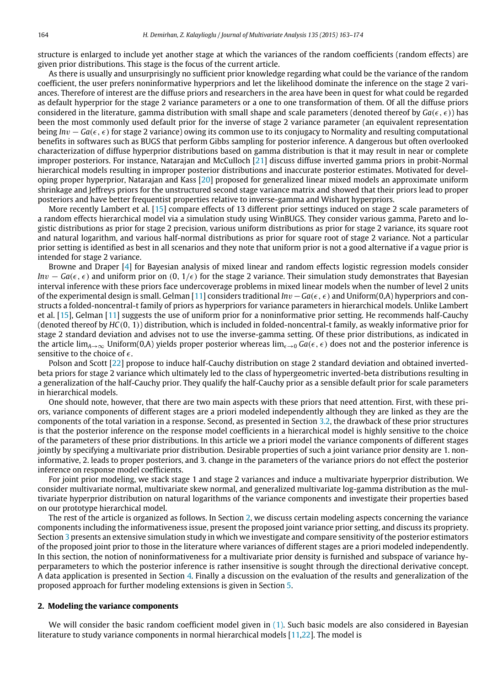structure is enlarged to include yet another stage at which the variances of the random coefficients (random effects) are given prior distributions. This stage is the focus of the current article.

As there is usually and unsurprisingly no sufficient prior knowledge regarding what could be the variance of the random coefficient, the user prefers noninformative hyperpriors and let the likelihood dominate the inference on the stage 2 variances. Therefore of interest are the diffuse priors and researchers in the area have been in quest for what could be regarded as default hyperprior for the stage 2 variance parameters or a one to one transformation of them. Of all the diffuse priors considered in the literature, gamma distribution with small shape and scale parameters (denoted thereof by  $Ga(\epsilon, \epsilon)$ ) has been the most commonly used default prior for the inverse of stage 2 variance parameter (an equivalent representation being *In*v − *Ga*(ϵ, ϵ) for stage 2 variance) owing its common use to its conjugacy to Normality and resulting computational benefits in softwares such as BUGS that perform Gibbs sampling for posterior inference. A dangerous but often overlooked characterization of diffuse hyperprior distributions based on gamma distribution is that it may result in near or complete improper posteriors. For instance, Natarajan and McCulloch [\[21\]](#page-11-10) discuss diffuse inverted gamma priors in probit-Normal hierarchical models resulting in improper posterior distributions and inaccurate posterior estimates. Motivated for developing proper hyperprior, Natarajan and Kass [\[20\]](#page-11-11) proposed for generalized linear mixed models an approximate uniform shrinkage and Jeffreys priors for the unstructured second stage variance matrix and showed that their priors lead to proper posteriors and have better frequentist properties relative to inverse-gamma and Wishart hyperpriors.

More recently Lambert et al. [\[15\]](#page-11-12) compare effects of 13 different prior settings induced on stage 2 scale parameters of a random effects hierarchical model via a simulation study using WinBUGS. They consider various gamma, Pareto and logistic distributions as prior for stage 2 precision, various uniform distributions as prior for stage 2 variance, its square root and natural logarithm, and various half-normal distributions as prior for square root of stage 2 variance. Not a particular prior setting is identified as best in all scenarios and they note that uniform prior is not a good alternative if a vague prior is intended for stage 2 variance.

Browne and Draper [\[4\]](#page-11-13) for Bayesian analysis of mixed linear and random effects logistic regression models consider *Inv* − *Ga*( $\epsilon$ ,  $\epsilon$ ) and uniform prior on (0, 1/ $\epsilon$ ) for the stage 2 variance. Their simulation study demonstrates that Bayesian interval inference with these priors face undercoverage problems in mixed linear models when the number of level 2 units of the experimental design is small. Gelman [\[11\]](#page-11-14) considers traditional *In*v−*Ga*(ϵ, ϵ) and Uniform(0,A) hyperpriors and constructs a folded-noncentral-t family of priors as hyperpriors for variance parameters in hierarchical models. Unlike Lambert et al. [\[15\]](#page-11-12), Gelman [\[11\]](#page-11-14) suggests the use of uniform prior for a noninformative prior setting. He recommends half-Cauchy (denoted thereof by *HC*(0, 1)) distribution, which is included in folded-noncentral-t family, as weakly informative prior for stage 2 standard deviation and advises not to use the inverse-gamma setting. Of these prior distributions, as indicated in the article lim<sub>*A*→∞</sub> Uniform(0,A) yields proper posterior whereas lim<sub> $\epsilon\rightarrow 0$ </sub> Ga( $\epsilon, \epsilon$ ) does not and the posterior inference is sensitive to the choice of  $\epsilon$ .

Polson and Scott [\[22\]](#page-11-15) propose to induce half-Cauchy distribution on stage 2 standard deviation and obtained invertedbeta priors for stage 2 variance which ultimately led to the class of hypergeometric inverted-beta distributions resulting in a generalization of the half-Cauchy prior. They qualify the half-Cauchy prior as a sensible default prior for scale parameters in hierarchical models.

One should note, however, that there are two main aspects with these priors that need attention. First, with these priors, variance components of different stages are a priori modeled independently although they are linked as they are the components of the total variation in a response. Second, as presented in Section [3.2,](#page-6-0) the drawback of these prior structures is that the posterior inference on the response model coefficients in a hierarchical model is highly sensitive to the choice of the parameters of these prior distributions. In this article we a priori model the variance components of different stages jointly by specifying a multivariate prior distribution. Desirable properties of such a joint variance prior density are 1. noninformative, 2. leads to proper posteriors, and 3. change in the parameters of the variance priors do not effect the posterior inference on response model coefficients.

For joint prior modeling, we stack stage 1 and stage 2 variances and induce a multivariate hyperprior distribution. We consider multivariate normal, multivariate skew normal, and generalized multivariate log-gamma distribution as the multivariate hyperprior distribution on natural logarithms of the variance components and investigate their properties based on our prototype hierarchical model.

The rest of the article is organized as follows. In Section [2,](#page-1-0) we discuss certain modeling aspects concerning the variance components including the informativeness issue, present the proposed joint variance prior setting, and discuss its propriety. Section [3](#page-4-0) presents an extensive simulation study in which we investigate and compare sensitivity of the posterior estimators of the proposed joint prior to those in the literature where variances of different stages are a priori modeled independently. In this section, the notion of noninformativeness for a multivariate prior density is furnished and subspace of variance hyperparameters to which the posterior inference is rather insensitive is sought through the directional derivative concept. A data application is presented in Section [4.](#page-7-0) Finally a discussion on the evaluation of the results and generalization of the proposed approach for further modeling extensions is given in Section [5.](#page-9-0)

#### <span id="page-1-0"></span>**2. Modeling the variance components**

We will consider the basic random coefficient model given in [\(1\).](#page-2-0) Such basic models are also considered in Bayesian literature to study variance components in normal hierarchical models [\[11,](#page-11-14)[22\]](#page-11-15). The model is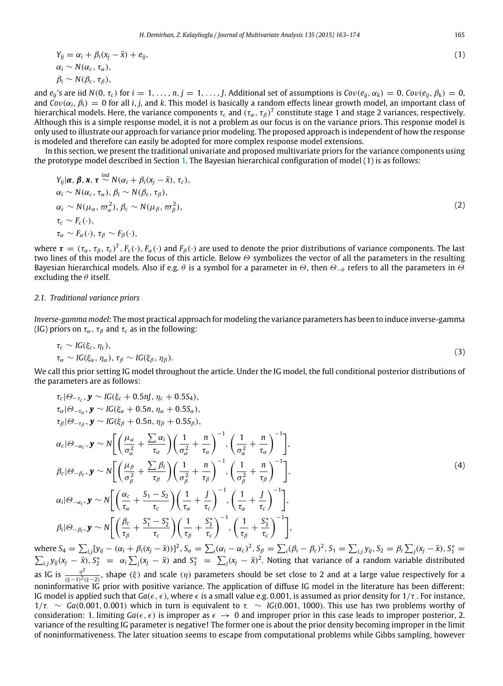<span id="page-2-0"></span>
$$
Y_{ij} = \alpha_i + \beta_i (x_j - \bar{x}) + e_{ij},
$$
  
\n
$$
\alpha_i \sim N(\alpha_c, \tau_\alpha),
$$
  
\n
$$
\beta_i \sim N(\beta_c, \tau_\beta),
$$
\n(1)

and  $e_{ij}$ 's are iid  $N(0, \tau_c)$  for  $i = 1, ..., n, j = 1, ..., J$ . Additional set of assumptions is  $Cov(e_{ij}, \alpha_k) = 0$ ,  $Cov(e_{ij}, \beta_k) = 0$ , and  $Cov(\alpha_i, \beta_i) = 0$  for all *i*, *j*, and *k*. This model is basically a random effects linear growth model, an important class of hierarchical models. Here, the variance components  $\tau_c$  and  $(\tau_\alpha,\tau_\beta)^T$  constitute stage 1 and stage 2 variances, respectively. Although this is a simple response model, it is not a problem as our focus is on the variance priors. This response model is only used to illustrate our approach for variance prior modeling. The proposed approach is independent of how the response is modeled and therefore can easily be adopted for more complex response model extensions.

In this section, we present the traditional univariate and proposed multivariate priors for the variance components using the prototype model described in Section [1.](#page-0-3) The Bayesian hierarchical configuration of model (1) is as follows:

$$
Y_{ij}|\boldsymbol{\alpha}, \boldsymbol{\beta}, \boldsymbol{x}, \boldsymbol{\tau} \stackrel{ind}{\sim} N(\alpha_i + \beta_i(x_j - \bar{x}), \tau_c),
$$
  
\n
$$
\alpha_i \sim N(\alpha_c, \tau_{\alpha}), \beta_i \sim N(\beta_c, \tau_{\beta}),
$$
  
\n
$$
\alpha_c \sim N(\mu_{\alpha}, \varpi_{\alpha}^2), \beta_c \sim N(\mu_{\beta}, \varpi_{\beta}^2),
$$
  
\n
$$
\tau_c \sim F_c(\cdot),
$$
  
\n
$$
\tau_{\alpha} \sim F_{\alpha}(\cdot), \tau_{\beta} \sim F_{\beta}(\cdot),
$$
\n(2)

where  $\tau=(\tau_\alpha,\tau_\beta,\tau_c)^T$ ,  $F_c(\cdot)$ ,  $F_\alpha(\cdot)$  and  $F_\beta(\cdot)$  are used to denote the prior distributions of variance components. The last two lines of this model are the focus of this article. Below Θ symbolizes the vector of all the parameters in the resulting Bayesian hierarchical models. Also if e.g.  $\theta$  is a symbol for a parameter in  $\Theta$ , then  $\Theta_{-\theta}$  refers to all the parameters in  $\Theta$ excluding the  $\theta$  itself.

#### *2.1. Traditional variance priors*

*Inverse-gamma model:* The most practical approach for modeling the variance parameters has been to induce inverse-gamma (IG) priors on  $\tau_{\alpha}$ ,  $\tau_{\beta}$  and  $\tau_{c}$  as in the following:

$$
\tau_c \sim IG(\xi_c, \eta_c),
$$
  
\n
$$
\tau_{\alpha} \sim IG(\xi_{\alpha}, \eta_{\alpha}), \tau_{\beta} \sim IG(\xi_{\beta}, \eta_{\beta}).
$$
\n(3)

We call this prior setting IG model throughout the article. Under the IG model, the full conditional posterior distributions of the parameters are as follows:

<span id="page-2-1"></span>
$$
\tau_{c}|\Theta_{-\tau_{c}}, \mathbf{y} \sim IG(\xi_{c} + 0.5n], \eta_{c} + 0.5S_{4}),
$$
\n
$$
\tau_{\alpha}|\Theta_{-\tau_{\alpha}}, \mathbf{y} \sim IG(\xi_{\alpha} + 0.5n, \eta_{\alpha} + 0.5S_{\alpha}),
$$
\n
$$
\tau_{\beta}|\Theta_{-\tau_{\beta}}, \mathbf{y} \sim IG(\xi_{\beta} + 0.5n, \eta_{\beta} + 0.5S_{\beta}),
$$
\n
$$
\alpha_{c}|\Theta_{-\alpha_{c}}, \mathbf{y} \sim N\left[\left(\frac{\mu_{\alpha}}{\sigma_{\alpha}^{2}} + \frac{\sum \alpha_{i}}{\tau_{\alpha}}\right)\left(\frac{1}{\sigma_{\alpha}^{2}} + \frac{n}{\tau_{\alpha}}\right)^{-1}, \left(\frac{1}{\sigma_{\alpha}^{2}} + \frac{n}{\tau_{\alpha}}\right)^{-1}\right],
$$
\n
$$
\beta_{c}|\Theta_{-\beta_{c}}, \mathbf{y} \sim N\left[\left(\frac{\mu_{\beta}}{\sigma_{\beta}^{2}} + \frac{\sum \beta_{i}}{\tau_{\beta}}\right)\left(\frac{1}{\sigma_{\beta}^{2}} + \frac{n}{\tau_{\beta}}\right)^{-1}, \left(\frac{1}{\sigma_{\beta}^{2}} + \frac{n}{\tau_{\beta}}\right)^{-1}\right],
$$
\n
$$
\alpha_{i}|\Theta_{-\alpha_{i}}, \mathbf{y} \sim N\left[\left(\frac{\alpha_{c}}{\tau_{\alpha}} + \frac{S_{1} - S_{2}}{\tau_{c}}\right)\left(\frac{1}{\tau_{\alpha}} + \frac{J}{\tau_{c}}\right)^{-1}, \left(\frac{1}{\tau_{\alpha}} + \frac{J}{\tau_{c}}\right)^{-1}\right],
$$
\n
$$
\beta_{i}|\Theta_{-\beta_{i}}, \mathbf{y} \sim N\left[\left(\frac{\beta_{c}}{\tau_{\beta}} + \frac{S_{1}^{*} - S_{2}^{*}}{\tau_{c}}\right)\left(\frac{1}{\tau_{\beta}} + \frac{S_{3}^{*}}{\tau_{c}}\right)^{-1}, \left(\frac{1}{\tau_{\beta}} + \frac{S_{3}^{*}}{\tau_{c}}\right)^{-1}\right],
$$
\n(4)

where  $S_4 = \sum_{i,j} [y_{ij} - (\alpha_i + \beta_i(x_j - \bar{x}))]^2$ ,  $S_\alpha = \sum_i (\alpha_i - \alpha_c)^2$ ,  $S_\beta = \sum_i (\beta_i - \beta_c)^2$ ,  $S_1 = \sum_{i,j} y_{ij}$ ,  $S_2 = \beta_i \sum_j (x_j - \bar{x})$ ,  $S_1^* = \sum_j \beta_i$ where  $s_4 = \sum_{i,j} [y_{ij} - \langle \alpha_i + p_i \langle \alpha_j - x \rangle]$ ;  $s_\alpha = \sum_i (\alpha_i - \alpha_c)$ ;  $s_\beta = \sum_i (p_i - p_c)$ ;  $s_1 = \sum_{i,j} y_{ij}$ ;  $s_2 = p_i \sum_j (\alpha_j - x)$ ,  $s_1 = \sum_{i,j} y_{ij} (x_j - \bar{x})$ ,  $s_2 = \alpha_i \sum_j (x_j - \bar{x})$  and  $S_3^* = \sum_j (x_j - \bar{x})^2$ . Noting that variance of a ran as IG is  $\frac{\eta^2}{(k-1)^2}$  $\frac{\eta^2}{(\xi-1)^2(\xi-2)}$ , shape  $(\xi)$  and scale  $(\eta)$  parameters should be set close to 2 and at a large value respectively for a noninformative IG prior with positive variance. The application of diffuse IG model in the literature has been different: IG model is applied such that  $Ga(\epsilon,\epsilon)$ , where  $\epsilon$  is a small value e.g. 0.001, is assumed as prior density for 1/τ<sub>.</sub>. For instance,  $1/\tau$ :  $\sim$  *Ga*(0.001, 0.001) which in turn is equivalent to  $\tau$ .  $\sim$  *IG*(0.001, 1000). This use has two problems worthy of consideration: 1. limiting  $Ga(\epsilon, \epsilon)$  is improper as  $\epsilon \to 0$  and improper prior in this case leads to improper posterior, 2. variance of the resulting IG parameter is negative! The former one is about the prior density becoming improper in the limit of noninformativeness. The later situation seems to escape from computational problems while Gibbs sampling, however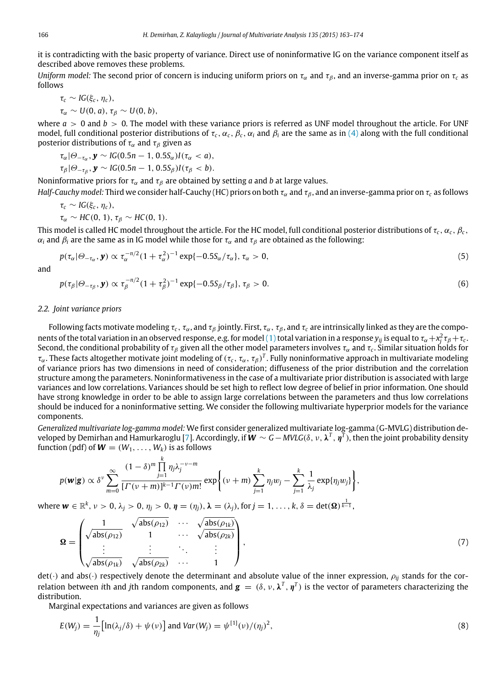it is contradicting with the basic property of variance. Direct use of noninformative IG on the variance component itself as described above removes these problems.

*Uniform model:* The second prior of concern is inducing uniform priors on  $\tau_\alpha$  and  $\tau_\beta$ , and an inverse-gamma prior on  $\tau_c$  as follows

$$
\tau_c \sim IG(\xi_c, \eta_c),
$$
  
\n
$$
\tau_\alpha \sim U(0, a), \tau_\beta \sim U(0, b),
$$

where  $a > 0$  and  $b > 0$ . The model with these variance priors is referred as UNF model throughout the article. For UNF model, full conditional posterior distributions of  $\tau_c$ ,  $\alpha_c$ ,  $\beta_c$ ,  $\alpha_i$  and  $\beta_i$  are the same as in [\(4\)](#page-2-1) along with the full conditional posterior distributions of  $\tau_\alpha$  and  $\tau_\beta$  given as

$$
\tau_{\alpha} | \Theta_{-\tau_{\alpha}}, \mathbf{y} \sim IG(0.5n-1, 0.5S_{\alpha})I(\tau_{\alpha} < a),
$$
  
\n
$$
\tau_{\beta} | \Theta_{-\tau_{\beta}}, \mathbf{y} \sim IG(0.5n-1, 0.5S_{\beta})I(\tau_{\beta} < b).
$$

Noninformative priors for  $\tau_\alpha$  and  $\tau_\beta$  are obtained by setting *a* and *b* at large values.

*Half-Cauchy model:* Third we consider half-Cauchy (HC) priors on both  $\tau_\alpha$  and  $\tau_\beta$ , and an inverse-gamma prior on  $\tau_c$  as follows

$$
\tau_c \sim IG(\xi_c, \eta_c),
$$
  
\n
$$
\tau_\alpha \sim HC(0, 1), \tau_\beta \sim HC(0, 1).
$$

This model is called HC model throughout the article. For the HC model, full conditional posterior distributions of  $\tau_c$ ,  $\alpha_c$ ,  $\beta_c$ ,  $\alpha_i$  and  $\beta_i$  are the same as in IG model while those for  $\tau_\alpha$  and  $\tau_\beta$  are obtained as the following:

$$
p(\tau_{\alpha}|\Theta_{-\tau_{\alpha}},\mathbf{y}) \propto \tau_{\alpha}^{-n/2}(1+\tau_{\alpha}^2)^{-1}\exp\{-0.5S_{\alpha}/\tau_{\alpha}\}, \tau_{\alpha} > 0,
$$
\n(5)

and

$$
p(\tau_{\beta}|\Theta_{-\tau_{\beta}}, \mathbf{y}) \propto \tau_{\beta}^{-n/2} (1 + \tau_{\beta}^2)^{-1} \exp\{-0.5S_{\beta}/\tau_{\beta}\}, \tau_{\beta} > 0.
$$
 (6)

# <span id="page-3-1"></span>*2.2. Joint variance priors*

Following facts motivate modeling  $\tau_c$ ,  $\tau_\alpha$ , and  $\tau_\beta$  jointly. First,  $\tau_\alpha$ ,  $\tau_\beta$ , and  $\tau_c$  are intrinsically linked as they are the compo-nents of the total variation in an observed response, e.g. for model [\(1\)](#page-2-0) total variation in a response  $y_{ij}$  is equal to  $\tau_\alpha+x_j^2\tau_\beta+\tau_c.$ Second, the conditional probability of  $\tau_\beta$  given all the other model parameters involves  $\tau_\alpha$  and  $\tau_c.$  Similar situation holds for  $\tau_\alpha$ . These facts altogether motivate joint modeling of  $(\tau_c,\tau_\alpha,\tau_\beta)^T$ . Fully noninformative approach in multivariate modeling of variance priors has two dimensions in need of consideration; diffuseness of the prior distribution and the correlation structure among the parameters. Noninformativeness in the case of a multivariate prior distribution is associated with large variances and low correlations. Variances should be set high to reflect low degree of belief in prior information. One should have strong knowledge in order to be able to assign large correlations between the parameters and thus low correlations should be induced for a noninformative setting. We consider the following multivariate hyperprior models for the variance components.

*Generalized multivariate log-gamma model:* We first consider generalized multivariate log-gamma (G-MVLG) distribution developed by Demirhan and Hamurkaroglu [\[7\]](#page-11-16). Accordingly, if *W* ∼ *G*− *MVLG*(δ, ν, λ *T* , η *T* ), then the joint probability density function (pdf) of  $W = (W_1, \ldots, W_k)$  is as follows

$$
p(\mathbf{w}|\mathbf{g}) \propto \delta^{\nu} \sum_{m=0}^{\infty} \frac{(1-\delta)^m \prod_{j=1}^k \eta_j \lambda_j^{-\nu-m}}{[\Gamma(\nu+m)]^{k-1} \Gamma(\nu)m!} \exp\bigg\{ (\nu+m) \sum_{j=1}^k \eta_j w_j - \sum_{j=1}^k \frac{1}{\lambda_j} \exp\{\eta_j w_j\} \bigg\},
$$

 $\mathsf{where} \ \bm{w} \in \mathbb{R}^k, \, \nu > 0, \, \lambda_j > 0, \, \eta_j > 0, \, \bm{\eta} = (\eta_j), \bm{\lambda} = (\lambda_j), \text{for} \, j = 1, \, \ldots, k, \delta = \det(\bm{\Omega})^{\frac{1}{k-1}},$ 

$$
\mathbf{\Omega} = \begin{pmatrix}\n1 & \sqrt{\mathrm{abs}(\rho_{12})} & \cdots & \sqrt{\mathrm{abs}(\rho_{1k})} \\
\sqrt{\mathrm{abs}(\rho_{12})} & 1 & \cdots & \sqrt{\mathrm{abs}(\rho_{2k})} \\
\vdots & \vdots & \ddots & \vdots \\
\sqrt{\mathrm{abs}(\rho_{1k})} & \sqrt{\mathrm{abs}(\rho_{2k})} & \cdots & 1\n\end{pmatrix},
$$
\n(7)

 $det(\cdot)$  and abs( $\cdot$ ) respectively denote the determinant and absolute value of the inner expression,  $\rho_{ij}$  stands for the correlation between *i*th and *j*th random components, and  $\bm{g}=(\delta,\nu,\bm{\lambda}^T,\eta^T)$  is the vector of parameters characterizing the distribution.

Marginal expectations and variances are given as follows

<span id="page-3-0"></span>
$$
E(W_j) = \frac{1}{\eta_j} \Big[ \ln(\lambda_j/\delta) + \psi(\nu) \Big] \text{ and } Var(W_j) = \psi^{\{1\}}(\nu) / (\eta_j)^2,
$$
\n
$$
(8)
$$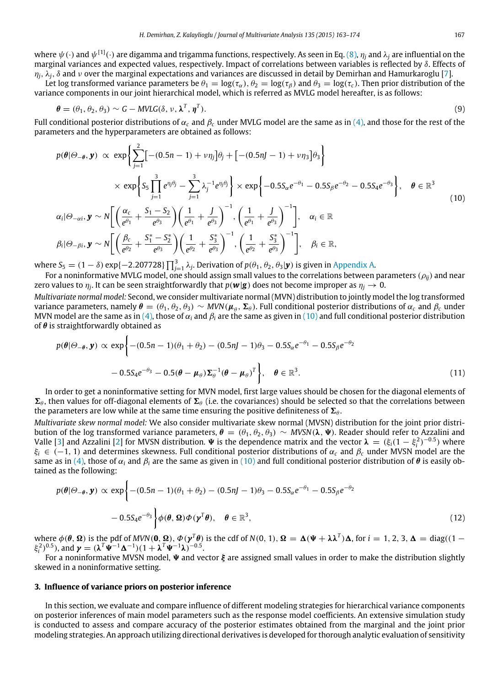where  $\psi(\cdot)$  and  $\psi^{[1]}(\cdot)$  are digamma and trigamma functions, respectively. As seen in Eq. [\(8\),](#page-3-0)  $\eta_j$  and  $\lambda_j$  are influential on the marginal variances and expected values, respectively. Impact of correlations between variables is reflected by δ. Effects of  $\eta_i$ ,  $\lambda_i$ ,  $\delta$  and  $\nu$  over the marginal expectations and variances are discussed in detail by Demirhan and Hamurkaroglu [\[7\]](#page-11-16).

Let log transformed variance parameters be  $\theta_1 = \log(\tau_\alpha)$ ,  $\theta_2 = \log(\tau_\beta)$  and  $\theta_3 = \log(\tau_c)$ . Then prior distribution of the variance components in our joint hierarchical model, which is referred as MVLG model hereafter, is as follows:

$$
\boldsymbol{\theta} = (\theta_1, \theta_2, \theta_3) \sim G - MVLG(\delta, \nu, \boldsymbol{\lambda}^T, \boldsymbol{\eta}^T). \tag{9}
$$

Full conditional posterior distributions of  $\alpha_c$  and  $\beta_c$  under MVLG model are the same as in [\(4\),](#page-2-1) and those for the rest of the parameters and the hyperparameters are obtained as follows:

<span id="page-4-1"></span>
$$
p(\theta|\Theta_{-\theta}, \mathbf{y}) \propto \exp\left\{\sum_{j=1}^{2} [-(0.5n-1) + \nu \eta_{j}] \theta_{j} + [-(0.5nJ-1) + \nu \eta_{3}] \theta_{3}\right\}
$$
  
\n
$$
\times \exp\left\{S_{5} \prod_{j=1}^{3} e^{\eta_{j}\theta_{j}} - \sum_{j=1}^{3} \lambda_{j}^{-1} e^{\eta_{j}\theta_{j}}\right\} \times \exp\left\{-0.5S_{\alpha}e^{-\theta_{1}} - 0.5S_{\beta}e^{-\theta_{2}} - 0.5S_{4}e^{-\theta_{3}}\right\}, \quad \theta \in \mathbb{R}^{3}
$$
  
\n
$$
\alpha_{i}|\Theta_{-\alpha i}, \mathbf{y} \sim N\left[\left(\frac{\alpha_{c}}{e^{\theta_{1}}} + \frac{S_{1} - S_{2}}{e^{\theta_{3}}}\right)\left(\frac{1}{e^{\theta_{1}}} + \frac{J}{e^{\theta_{3}}}\right)^{-1}, \left(\frac{1}{e^{\theta_{1}}} + \frac{J}{e^{\theta_{3}}}\right)^{-1}\right], \quad \alpha_{i} \in \mathbb{R}
$$
  
\n
$$
\beta_{i}|\Theta_{-\beta i}, \mathbf{y} \sim N\left[\left(\frac{\beta_{c}}{e^{\theta_{2}}} + \frac{S_{1}^{*} - S_{2}^{*}}{e^{\theta_{3}}}\right)\left(\frac{1}{e^{\theta_{2}}} + \frac{S_{3}^{*}}{e^{\theta_{3}}}\right)^{-1}, \left(\frac{1}{e^{\theta_{2}}} + \frac{S_{3}^{*}}{e^{\theta_{3}}}\right)^{-1}\right], \quad \beta_{i} \in \mathbb{R},
$$
  
\n(10)

where  $S_5 = (1 - \delta) \exp\{-2.207728\} \prod_{j=1}^3 \lambda_j$ . Derivation of  $p(\theta_1, \theta_2, \theta_3 | \mathbf{y})$  is given in [Appendix A.](#page-10-0)

For a noninformative MVLG model, one should assign small values to the correlations between parameters ( $\rho_{ii}$ ) and near zero values to  $\eta_j$ . It can be seen straightforwardly that  $p(\bm{w}|\bm{g})$  does not become improper as  $\eta_j \to 0$ .

*Multivariate normal model:* Second, we consider multivariate normal (MVN) distribution to jointly model the log transformed variance parameters, namely  $\pmb{\theta}=(\theta_1,\theta_2,\theta_3)\sim M$ VN $(\pmb{\mu}_\theta,\pmb{\Sigma}_\theta)$ . Full conditional posterior distributions of  $\alpha_c$  and  $\beta_c$  under MVN model are the same as in [\(4\),](#page-2-1) those of  $\alpha_i$  and  $\beta_i$  are the same as given in [\(10\)](#page-4-1) and full conditional posterior distribution of  $\theta$  is straightforwardly obtained as

$$
p(\theta|\Theta_{-\theta}, \mathbf{y}) \propto \exp\left\{-(0.5n-1)(\theta_1+\theta_2) - (0.5nJ-1)\theta_3 - 0.5S_{\alpha}e^{-\theta_1} - 0.5S_{\beta}e^{-\theta_2}\right.- 0.5S_4e^{-\theta_3} - 0.5(\theta - \mu_{\theta})\Sigma_{\theta}^{-1}(\theta - \mu_{\theta})^T\right\}, \quad \theta \in \mathbb{R}^3.
$$
\n(11)

In order to get a noninformative setting for MVN model, first large values should be chosen for the diagonal elements of  $\Sigma_{\theta}$ , then values for off-diagonal elements of  $\Sigma_{\theta}$  (i.e. the covariances) should be selected so that the correlations between the parameters are low while at the same time ensuring the positive definiteness of  $\Sigma_{\theta}$ .

*Multivariate skew normal model:* We also consider multivariate skew normal (MVSN) distribution for the joint prior distribution of the log transformed variance parameters,  $\theta = (\theta_1, \theta_2, \theta_3) \sim MVSN(\lambda, \Psi)$ . Reader should refer to Azzalini and Valle [\[3\]](#page-11-17) and Azzalini [\[2\]](#page-11-18) for MVSN distribution.  $\Psi$  is the dependence matrix and the vector  $\lambda = (\xi_i(1 - \xi_i^2)^{-0.5})$  where ξ*<sup>i</sup>* ∈ (−1, 1) and determines skewness. Full conditional posterior distributions of α*<sup>c</sup>* and β*<sup>c</sup>* under MVSN model are the same as in [\(4\),](#page-2-1) those of  $\alpha_i$  and  $\beta_i$  are the same as given in [\(10\)](#page-4-1) and full conditional posterior distribution of  $\theta$  is easily obtained as the following:

$$
p(\theta|\Theta_{-\theta}, \mathbf{y}) \propto \exp\left\{-(0.5n-1)(\theta_1+\theta_2)-(0.5nJ-1)\theta_3-0.5S_{\alpha}e^{-\theta_1}-0.5S_{\beta}e^{-\theta_2}\right\}
$$

$$
-0.5S_4e^{-\theta_3}\left\{\phi(\theta, \Omega)\Phi(\mathbf{y}^T\theta), \quad \theta \in \mathbb{R}^3,\right\} (12)
$$

where  $\phi(\theta, \Omega)$  is the pdf of *MVN*(0,  $\Omega$ ),  $\phi(\gamma^T\theta)$  is the cdf of *N*(0, 1),  $\Omega = \Delta(\Psi + \lambda \lambda^T)\Delta$ , for  $i = 1, 2, 3, \Delta = \text{diag}((1 - \lambda \lambda^T)\Delta)$  $\xi_i^2$ )<sup>0.5</sup>), and  $\boldsymbol{\gamma} = (\boldsymbol{\lambda}^T \boldsymbol{\Psi}^{-1} \boldsymbol{\Delta}^{-1}) (1 + \boldsymbol{\lambda}^T \boldsymbol{\Psi}^{-1} \boldsymbol{\lambda})^{-0.5}$ .

For a noninformative MVSN model,  $\Psi$  and vector  $\xi$  are assigned small values in order to make the distribution slightly skewed in a noninformative setting.

#### <span id="page-4-0"></span>**3. Influence of variance priors on posterior inference**

In this section, we evaluate and compare influence of different modeling strategies for hierarchical variance components on posterior inferences of main model parameters such as the response model coefficients. An extensive simulation study is conducted to assess and compare accuracy of the posterior estimates obtained from the marginal and the joint prior modeling strategies. An approach utilizing directional derivatives is developed for thorough analytic evaluation of sensitivity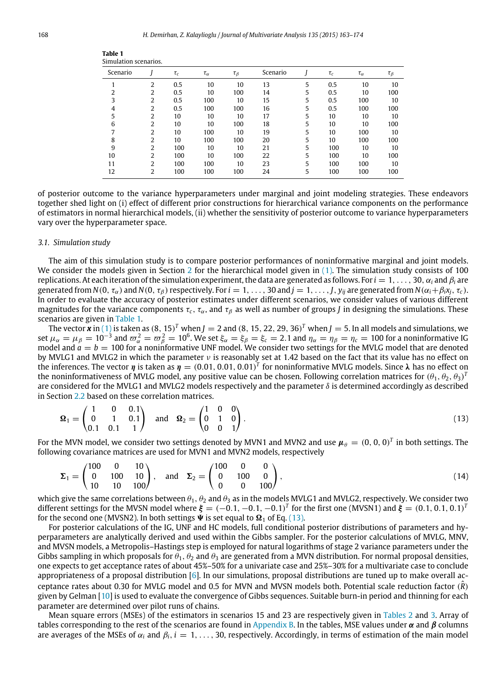| Simulation scenarios. |                |          |               |                |          |   |          |               |              |
|-----------------------|----------------|----------|---------------|----------------|----------|---|----------|---------------|--------------|
| Scenario              |                | $\tau_c$ | $\tau_\alpha$ | $\tau_{\beta}$ | Scenario |   | $\tau_c$ | $\tau_\alpha$ | $\tau_\beta$ |
|                       | $\overline{2}$ | 0.5      | 10            | 10             | 13       | 5 | 0.5      | 10            | 10           |
| 2                     | 2              | 0.5      | 10            | 100            | 14       | 5 | 0.5      | 10            | 100          |
| 3                     | 2              | 0.5      | 100           | 10             | 15       | 5 | 0.5      | 100           | 10           |
| 4                     | 2              | 0.5      | 100           | 100            | 16       | 5 | 0.5      | 100           | 100          |
| 5                     | 2              | 10       | 10            | 10             | 17       | 5 | 10       | 10            | 10           |
| 6                     | 2              | 10       | 10            | 100            | 18       | 5 | 10       | 10            | 100          |
| 7                     | $\overline{2}$ | 10       | 100           | 10             | 19       | 5 | 10       | 100           | 10           |
| 8                     | 2              | 10       | 100           | 100            | 20       | 5 | 10       | 100           | 100          |
| 9                     | $\overline{2}$ | 100      | 10            | 10             | 21       | 5 | 100      | 10            | 10           |
| 10                    | 2              | 100      | 10            | 100            | 22       | 5 | 100      | 10            | 100          |
| 11                    | 2              | 100      | 100           | 10             | 23       | 5 | 100      | 100           | 10           |
| 12                    | 2              | 100      | 100           | 100            | 24       | 5 | 100      | 100           | 100          |

<span id="page-5-0"></span>**Table 1**

of posterior outcome to the variance hyperparameters under marginal and joint modeling strategies. These endeavors together shed light on (i) effect of different prior constructions for hierarchical variance components on the performance of estimators in normal hierarchical models, (ii) whether the sensitivity of posterior outcome to variance hyperparameters vary over the hyperparameter space.

#### *3.1. Simulation study*

The aim of this simulation study is to compare posterior performances of noninformative marginal and joint models. We consider the models given in Section [2](#page-1-0) for the hierarchical model given in [\(1\).](#page-2-0) The simulation study consists of 100 replications. At each iteration of the simulation experiment, the data are generated as follows. For  $i = 1, \ldots, 30, \alpha_i$  and  $β_i$  are generated from  $N(0, \tau_{\alpha})$  and  $N(0, \tau_{\beta})$  respectively. For  $i = 1, \ldots, 30$  and  $j = 1, \ldots, J$ ,  $y_{ij}$  are generated from  $N(\alpha_i + \beta_i x_i, \tau_c)$ . In order to evaluate the accuracy of posterior estimates under different scenarios, we consider values of various different magnitudes for the variance components  $\tau_c$ ,  $\tau_\alpha$ , and  $\tau_\beta$  as well as number of groups *J* in designing the simulations. These scenarios are given in [Table 1.](#page-5-0)

The vector  $x$  in [\(1\)](#page-2-0) is taken as  $(8, 15)^T$  when  $J=2$  and  $(8, 15, 22, 29, 36)^T$  when  $J=5$ . In all models and simulations, we set  $\mu_\alpha=\mu_\beta=10^{-3}$  and  $\varpi_\alpha^2=\varpi_\beta^2=10^6$ . We set  $\xi_\alpha=\xi_\beta=\xi_c=2.1$  and  $\eta_\alpha=\eta_\beta=\eta_c=100$  for a noninformative IG model and  $a = b = 100$  for a noninformative UNF model. We consider two settings for the MVLG model that are denoted by MVLG1 and MVLG2 in which the parameter  $\nu$  is reasonably set at 1.42 based on the fact that its value has no effect on the inferences. The vector  $\eta$  is taken as  $\eta = (0.01, 0.01, 0.01)^T$  for noninformative MVLG models. Since  $\lambda$  has no effect on the noninformativeness of MVLG model, any positive value can be chosen. Following correlation matrices for  $(\theta_1, \theta_2, \theta_3)^T$ are considered for the MVLG1 and MVLG2 models respectively and the parameter  $\delta$  is determined accordingly as described in Section [2.2](#page-3-1) based on these correlation matrices.

<span id="page-5-1"></span>
$$
\Omega_1 = \begin{pmatrix} 1 & 0 & 0.1 \\ 0 & 1 & 0.1 \\ 0.1 & 0.1 & 1 \end{pmatrix} \text{ and } \Omega_2 = \begin{pmatrix} 1 & 0 & 0 \\ 0 & 1 & 0 \\ 0 & 0 & 1 \end{pmatrix}.
$$
 (13)

For the MVN model, we consider two settings denoted by MVN1 and MVN2 and use  $\pmb{\mu}_\theta=(0,0,0)^T$  in both settings. The following covariance matrices are used for MVN1 and MVN2 models, respectively

$$
\Sigma_1 = \begin{pmatrix} 100 & 0 & 10 \\ 0 & 100 & 10 \\ 10 & 10 & 100 \end{pmatrix}, \text{ and } \Sigma_2 = \begin{pmatrix} 100 & 0 & 0 \\ 0 & 100 & 0 \\ 0 & 0 & 100 \end{pmatrix}, \tag{14}
$$

which give the same correlations between  $\theta_1$ ,  $\theta_2$  and  $\theta_3$  as in the models MVLG1 and MVLG2, respectively. We consider two different settings for the MVSN model where  $\xi = (-0.1, -0.1, -0.1)^T$  for the first one (MVSN1) and  $\xi = (0.1, 0.1, 0.1)^T$ for the second one (MVSN2). In both settings  $\Psi$  is set equal to  $\Omega_1$  of Eq. [\(13\).](#page-5-1)

For posterior calculations of the IG, UNF and HC models, full conditional posterior distributions of parameters and hyperparameters are analytically derived and used within the Gibbs sampler. For the posterior calculations of MVLG, MNV, and MVSN models, a Metropolis–Hastings step is employed for natural logarithms of stage 2 variance parameters under the Gibbs sampling in which proposals for  $\theta_1$ ,  $\theta_2$  and  $\theta_3$  are generated from a MVN distribution. For normal proposal densities, one expects to get acceptance rates of about 45%–50% for a univariate case and 25%–30% for a multivariate case to conclude appropriateness of a proposal distribution [\[6\]](#page-11-19). In our simulations, proposal distributions are tuned up to make overall acceptance rates about 0.30 for MVLG model and 0.5 for MVN and MVSN models both. Potential scale reduction factor (*R*ˆ) given by Gelman [\[10\]](#page-11-20) is used to evaluate the convergence of Gibbs sequences. Suitable burn-in period and thinning for each parameter are determined over pilot runs of chains.

Mean square errors (MSEs) of the estimators in scenarios 15 and 23 are respectively given in [Tables 2](#page-6-1) and [3.](#page-6-2) Array of tables corresponding to the rest of the scenarios are found in [Appendix B.](#page-11-21) In the tables, MSE values under  $\alpha$  and  $\beta$  columns are averages of the MSEs of  $\alpha_i$  and  $\beta_i$ ,  $i = 1, \ldots, 30$ , respectively. Accordingly, in terms of estimation of the main model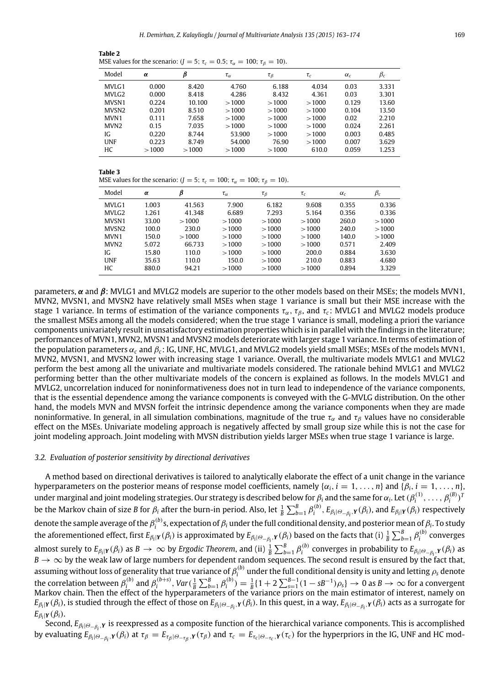<span id="page-6-1"></span>

| Table 2                                                                                    |  |
|--------------------------------------------------------------------------------------------|--|
| MSE values for the scenario: $(J = 5; \tau_c = 0.5; \tau_\alpha = 100; \tau_\beta = 10)$ . |  |

| Model             | $\alpha$ | β      | $\tau_\alpha$ | $\tau_\beta$ | $\tau_c$ | $\alpha_c$ | $\beta_c$ |
|-------------------|----------|--------|---------------|--------------|----------|------------|-----------|
| MVLG1             | 0.000    | 8.420  | 4.760         | 6.188        | 4.034    | 0.03       | 3.331     |
| MVLG <sub>2</sub> | 0.000    | 8.418  | 4.286         | 8.432        | 4.361    | 0.03       | 3.301     |
| MVSN1             | 0.224    | 10.100 | >1000         | >1000        | >1000    | 0.129      | 13.60     |
| MVSN <sub>2</sub> | 0.201    | 8.510  | >1000         | >1000        | >1000    | 0.104      | 13.50     |
| MVN1              | 0.111    | 7.658  | >1000         | >1000        | >1000    | 0.02       | 2.210     |
| MVN <sub>2</sub>  | 0.15     | 7.035  | >1000         | >1000        | >1000    | 0.024      | 2.261     |
| IG.               | 0.220    | 8.744  | 53.900        | >1000        | >1000    | 0.003      | 0.485     |
| UNF               | 0.223    | 8.749  | 54.000        | 76.90        | >1000    | 0.007      | 3.629     |
| HС                | >1000    | >1000  | >1000         | >1000        | 610.0    | 0.059      | 1.253     |

#### <span id="page-6-2"></span>**Table 3**

MSE values for the scenario: ( $J = 5$ ;  $\tau_c = 100$ ;  $\tau_a = 100$ ;  $\tau_b = 10$ ).

| Model             | α     | β      | $\tau_{\alpha}$ | $\tau_{\beta}$ | $\tau_c$ | $\alpha_c$ | $\beta_c$ |
|-------------------|-------|--------|-----------------|----------------|----------|------------|-----------|
| MVLG1             | 1.003 | 41.563 | 7.900           | 6.182          | 9.608    | 0.355      | 0.336     |
| MVLG <sub>2</sub> | 1.261 | 41.348 | 6.689           | 7.293          | 5.164    | 0.356      | 0.336     |
| MVSN1             | 33.00 | >1000  | >1000           | >1000          | >1000    | 260.0      | >1000     |
| MVSN <sub>2</sub> | 100.0 | 230.0  | >1000           | >1000          | >1000    | 240.0      | >1000     |
| MVN1              | 150.0 | >1000  | >1000           | >1000          | >1000    | 140.0      | >1000     |
| MVN <sub>2</sub>  | 5.072 | 66.733 | >1000           | >1000          | >1000    | 0.571      | 2.409     |
| IG.               | 15.80 | 110.0  | >1000           | >1000          | 200.0    | 0.884      | 3.630     |
| <b>UNF</b>        | 35.63 | 110.0  | 150.0           | >1000          | 210.0    | 0.883      | 4.680     |
| НC                | 880.0 | 94.21  | >1000           | >1000          | >1000    | 0.894      | 3.329     |

parameters,  $\alpha$  and  $\beta$ : MVLG1 and MVLG2 models are superior to the other models based on their MSEs; the models MVN1, MVN2, MVSN1, and MVSN2 have relatively small MSEs when stage 1 variance is small but their MSE increase with the stage 1 variance. In terms of estimation of the variance components  $\tau_{\alpha}$ ,  $\tau_{\beta}$ , and  $\tau_{c}$ : MVLG1 and MVLG2 models produce the smallest MSEs among all the models considered; when the true stage 1 variance is small, modeling a priori the variance components univariately result in unsatisfactory estimation properties which is in parallel with the findings in the literature; performances of MVN1, MVN2, MVSN1 and MVSN2 models deteriorate with larger stage 1 variance. In terms of estimation of the population parameters α*<sup>c</sup>* and β*<sup>c</sup>* : IG, UNF, HC, MVLG1, and MVLG2 models yield small MSEs; MSEs of the models MVN1, MVN2, MVSN1, and MVSN2 lower with increasing stage 1 variance. Overall, the multivariate models MVLG1 and MVLG2 perform the best among all the univariate and multivariate models considered. The rationale behind MVLG1 and MVLG2 performing better than the other multivariate models of the concern is explained as follows. In the models MVLG1 and MVLG2, uncorrelation induced for noninformativeness does not in turn lead to independence of the variance components, that is the essential dependence among the variance components is conveyed with the G-MVLG distribution. On the other hand, the models MVN and MVSN forfeit the intrinsic dependence among the variance components when they are made noninformative. In general, in all simulation combinations, magnitude of the true  $\tau_\alpha$  and  $\tau_\beta$  values have no considerable effect on the MSEs. Univariate modeling approach is negatively affected by small group size while this is not the case for joint modeling approach. Joint modeling with MVSN distribution yields larger MSEs when true stage 1 variance is large.

# <span id="page-6-0"></span>*3.2. Evaluation of posterior sensitivity by directional derivatives*

A method based on directional derivatives is tailored to analytically elaborate the effect of a unit change in the variance hyperparameters on the posterior means of response model coefficients, namely  $\{\alpha_i, i = 1, \ldots, n\}$  and  $\{\beta_i, i = 1, \ldots, n\}$ , under marginal and joint modeling strategies. Our strategy is described below for  $\beta_i$  and the same for  $\alpha_i$ . Let  $(\beta_i^{(1)},\ldots,\beta_i^{(B)})^T$ be the Markov chain of size B for  $\beta_i$  after the burn-in period. Also, let  $\frac{1}{B}\sum_{b=1}^B\beta_i^{(b)}$ ,  $E_{\beta_i|\Theta_{-\beta_i},\mathbf{Y}}(\beta_i)$ , and  $E_{\beta_i|\mathbf{Y}}(\beta_i)$  respectively denote the sample average of the  $\beta_i^{(b)}$ s, expectation of  $\beta_i$  under the full conditional density, and posterior mean of  $\beta_i$ . To study the aforementioned effect, first  $E_{\beta_i|Y}(\beta_i)$  is approximated by  $E_{\beta_i|\Theta_{-\beta_i},Y}(\beta_i)$  based on the facts that (i)  $\frac{1}{B}\sum_{b=1}^B\beta_i^{(b)}$  converges almost surely to  $E_{\beta_i|Y}(\beta_i)$  as  $B\to\infty$  by Ergodic Theorem, and (ii)  $\frac{1}{B}\sum_{b=1}^B\beta_i^{(b)}$  converges in probability to  $E_{\beta_i|\Theta-\beta_i,Y}(\beta_i)$  as  $B \to \infty$  by the weak law of large numbers for dependent random sequences. The second result is ensured by the fact that, assuming without loss of generality that true variance of  $\beta_i^{(b)}$  under the full conditional density is unity and letting  $\rho_\text{s}$  denote the correlation between  $\beta_i^{(b)}$  and  $\beta_i^{(b+s)}$ , Var $(\frac{1}{B}\sum_{b=1}^B\beta_i^{(b)})=\frac{1}{B}\{1+2\sum_{s=1}^{B-1}(1-sB^{-1})\rho_s\}\to 0$  as  $B\to\infty$  for a convergent Markov chain. Then the effect of the hyperparameters of the variance priors on the main estimator of interest, namely on  $E_{\beta_i|Y}(\beta_i)$ , is studied through the effect of those on  $E_{\beta_i|\Theta_{-\beta_i},Y}(\beta_i)$ . In this quest, in a way,  $E_{\beta_i|\Theta_{-\beta_i},Y}(\beta_i)$  acts as a surrogate for  $E_{\beta_i|Y}(\beta_i)$ .

Second, *E*β*<sup>i</sup>* <sup>|</sup>Θ−β*<sup>i</sup>* ,*<sup>Y</sup>* is reexpressed as a composite function of the hierarchical variance components. This is accomplished by evaluating  $E_{\beta_i|\Theta_{-\beta_i},\mathbf{Y}}(\beta_i)$  at  $\tau_\beta = E_{\tau_\beta|\Theta_{-\tau_\beta},\mathbf{Y}}(\tau_\beta)$  and  $\tau_c = E_{\tau_c|\Theta_{-\tau_c},\mathbf{Y}}(\tau_c)$  for the hyperpriors in the IG, UNF and HC mod-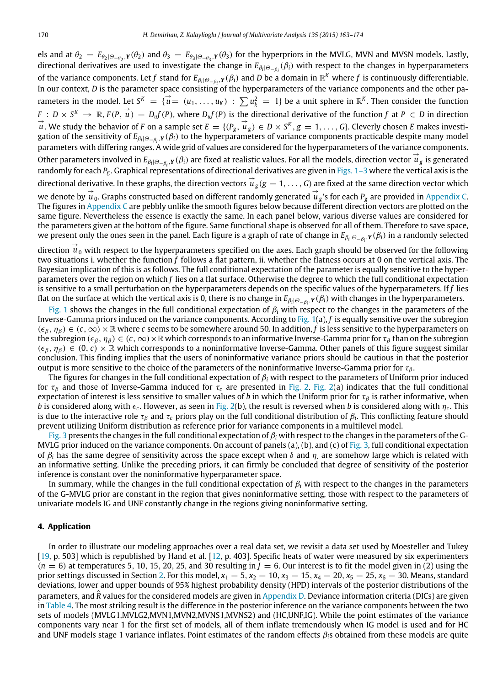els and at  $\theta_2 = E_{\theta_2|\Theta_{-\theta_2}, Y}(\theta_2)$  and  $\theta_3 = E_{\theta_3|\Theta_{-\theta_3}, Y}(\theta_3)$  for the hyperpriors in the MVLG, MVN and MVSN models. Lastly, directional derivatives are used to investigate the change in *E*β*<sup>i</sup>* <sup>|</sup>Θ−β*<sup>i</sup>* (β*i*) with respect to the changes in hyperparameters of the variance components. Let *f* stand for  $E_{\beta_i|\Theta_{-\beta_i},\mathbf{Y}}(\beta_i)$  and *D* be a domain in  $\mathbb{R}^K$  where *f* is continuously differentiable. In our context, *D* is the parameter space consisting of the hyperparameters of the variance components and the other parameters in the model. Let  $S^K = {\overrightarrow{u}} = (u_1, \ldots, u_K) : \sum u_k^2 = 1$  be a unit sphere in  $\mathbb{R}^K$ . Then consider the function  $F: D \times S^{k} \to \mathbb{R}$ ,  $F(P, \vec{u}) = D_{u}f(P)$ , where  $D_{u}f(P)$  is the directional derivative of the function f at  $P \in D$  in direction  $\vec{u}$ . We study the behavior of *F* on a sample set  $E = \{(P_g, \vec{u}_g) \in D \times S^K, g = 1, \ldots, G\}$ . Cleverly chosen *E* makes investigation of the sensitivity of  $E_{\beta_i|\Theta_{-\beta_i},Y}(\beta_i)$  to the hyperparameters of variance components practicable despite many model parameters with differing ranges. A wide grid of values are considered for the hyperparameters of the variance components. other parameters involved in *E<sub>βilΘ−βi</sub>*, *Y*(*β*<sub>i</sub>) are fixed at realistic values. For all the models, direction vector  $\vec{u}_g$  is generated randomly for each *P<sup>g</sup>* . Graphical representations of directional derivatives are given in [Figs. 1–3](#page-8-0) where the vertical axis is the directional derivative. In these graphs, the direction vectors  $\vec{u}_g$  ( $g = 1, \ldots, G$ ) are fixed at the same direction vector which we denote by  $\vec{u}_0$ . Graphs constructed based on different randomly generated  $\vec{u}_g$ 's for each  $P_g$  are provided in [Appendix C.](#page-11-22) The figures in [Appendix C](#page-11-22) are pebbly unlike the smooth figures below because different direction vectors are plotted on the same figure. Nevertheless the essence is exactly the same. In each panel below, various diverse values are considered for the parameters given at the bottom of the figure. Same functional shape is observed for all of them. Therefore to save space, we present only the ones seen in the panel. Each figure is a graph of rate of change in *E*β*<sup>i</sup>* <sup>|</sup>Θ−β*<sup>i</sup>* ,*<sup>Y</sup>* (β*i*) in a randomly selected

direction  $\vec{u}_0$  with respect to the hyperparameters specified on the axes. Each graph should be observed for the following two situations i. whether the function *f* follows a flat pattern, ii. whether the flatness occurs at 0 on the vertical axis. The Bayesian implication of this is as follows. The full conditional expectation of the parameter is equally sensitive to the hyperparameters over the region on which *f* lies on a flat surface. Otherwise the degree to which the full conditional expectation is sensitive to a small perturbation on the hyperparameters depends on the specific values of the hyperparameters. If *f* lies flat on the surface at which the vertical axis is 0, there is no change in *E*β*<sup>i</sup>* <sup>|</sup>Θ−β*<sup>i</sup>* ,*<sup>Y</sup>* (β*i*) with changes in the hyperparameters.

[Fig. 1](#page-8-0) shows the changes in the full conditional expectation of β*<sup>i</sup>* with respect to the changes in the parameters of the Inverse-Gamma priors induced on the variance components. According to [Fig. 1\(](#page-8-0)a), *f* is equally sensitive over the subregion  $(\epsilon_{\beta}, \eta_{\beta}) \in (c, \infty) \times \mathbb{R}$  where *c* seems to be somewhere around 50. In addition, *f* is less sensitive to the hyperparameters on the subregion ( $\epsilon_\beta$ ,  $\eta_\beta$ )  $\in$  (*c*,  $\infty$ ) × R which corresponds to an informative Inverse-Gamma prior for  $\tau_\beta$  than on the subregion  $(\epsilon_{\beta}, \eta_{\beta}) \in (0, c) \times \mathbb{R}$  which corresponds to a noninformative Inverse-Gamma. Other panels of this figure suggest similar conclusion. This finding implies that the users of noninformative variance priors should be cautious in that the posterior output is more sensitive to the choice of the parameters of the noninformative Inverse-Gamma prior for  $\tau_{\beta}$ .

The figures for changes in the full conditional expectation of  $\beta_i$  with respect to the parameters of Uniform prior induced for τ<sub>β</sub> and those of Inverse-Gamma induced for τ<sub>c</sub> are presented in [Fig. 2.](#page-9-1) [Fig. 2\(](#page-9-1)a) indicates that the full conditional expectation of interest is less sensitive to smaller values of *b* in which the Uniform prior for  $\tau_\beta$  is rather informative, when *b* is considered along with  $\epsilon_c$ . However, as seen in [Fig. 2\(](#page-9-1)b), the result is reversed when *b* is considered along with  $\eta_c$ . This is due to the interactive role  $\tau_\beta$  and  $\tau_c$  priors play on the full conditional distribution of  $\beta_i.$  This conflicting feature should prevent utilizing Uniform distribution as reference prior for variance components in a multilevel model.

[Fig. 3](#page-9-2) presents the changes in the full conditional expectation of  $\beta_i$  with respect to the changes in the parameters of the G-MVLG prior induced on the variance components. On account of panels (a), (b), and (c) of [Fig. 3,](#page-9-2) full conditional expectation of  $\beta_i$  has the same degree of sensitivity across the space except when  $\delta$  and  $\eta$  are somehow large which is related with an informative setting. Unlike the preceding priors, it can firmly be concluded that degree of sensitivity of the posterior inference is constant over the noninformative hyperparameter space.

In summary, while the changes in the full conditional expectation of  $\beta_i$  with respect to the changes in the parameters of the G-MVLG prior are constant in the region that gives noninformative setting, those with respect to the parameters of univariate models IG and UNF constantly change in the regions giving noninformative setting.

# <span id="page-7-0"></span>**4. Application**

In order to illustrate our modeling approaches over a real data set, we revisit a data set used by Moesteller and Tukey [\[19,](#page-11-23) p. 503] which is republished by Hand et al. [\[12,](#page-11-24) p. 403]. Specific heats of water were measured by six experimenters  $(n = 6)$  at temperatures 5, 10, 15, 20, 25, and 30 resulting in  $J = 6$ . Our interest is to fit the model given in (2) using the prior settings discussed in Section [2.](#page-1-0) For this model,  $x_1 = 5$ ,  $x_2 = 10$ ,  $x_3 = 15$ ,  $x_4 = 20$ ,  $x_5 = 25$ ,  $x_6 = 30$ . Means, standard deviations, lower and upper bounds of 95% highest probability density (HPD) intervals of the posterior distributions of the parameters, and *R* values for the considered models are given in [Appendix D.](#page-11-25) Deviance information criteria (DICs) are given in [Table 4.](#page-9-3) The most striking result is the difference in the posterior inference on the variance components between the two sets of models (MVLG1,MVLG2,MVN1,MVN2,MVNS1,MVNS2) and (HC,UNF,IG). While the point estimates of the variance components vary near 1 for the first set of models, all of them inflate tremendously when IG model is used and for HC and UNF models stage 1 variance inflates. Point estimates of the random effects β*i*s obtained from these models are quite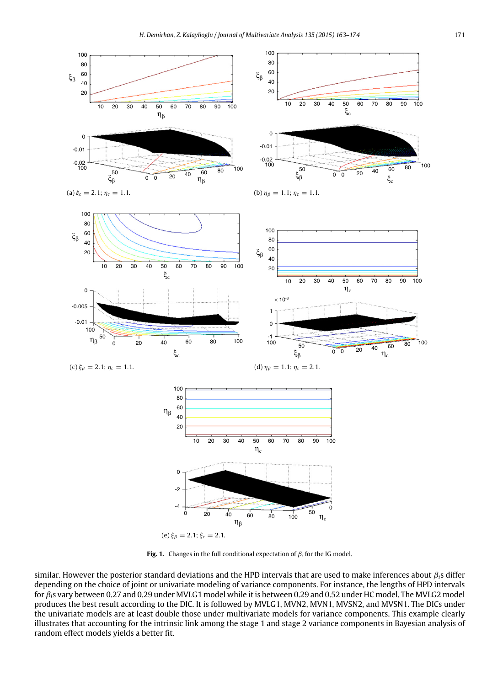<span id="page-8-0"></span>

**Fig. 1.** Changes in the full conditional expectation of  $\beta_i$  for the IG model.

similar. However the posterior standard deviations and the HPD intervals that are used to make inferences about β*i*s differ depending on the choice of joint or univariate modeling of variance components. For instance, the lengths of HPD intervals for β*i*s vary between 0.27 and 0.29 under MVLG1 model while it is between 0.29 and 0.52 under HC model. The MVLG2 model produces the best result according to the DIC. It is followed by MVLG1, MVN2, MVN1, MVSN2, and MVSN1. The DICs under the univariate models are at least double those under multivariate models for variance components. This example clearly illustrates that accounting for the intrinsic link among the stage 1 and stage 2 variance components in Bayesian analysis of random effect models yields a better fit.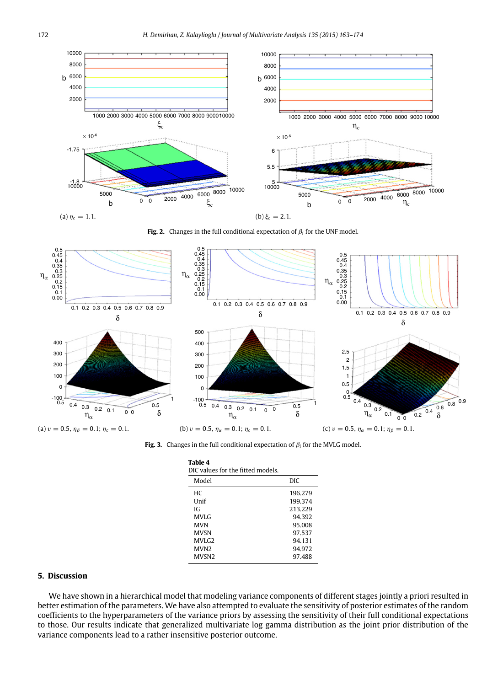<span id="page-9-1"></span>



<span id="page-9-2"></span>

**Fig. 3.** Changes in the full conditional expectation of  $\beta_i$  for the MVLG model.

<span id="page-9-3"></span>

| Table 4<br>DIC values for the fitted models. |         |  |  |  |  |
|----------------------------------------------|---------|--|--|--|--|
| Model                                        | DIC     |  |  |  |  |
| HС                                           | 196.279 |  |  |  |  |
| <b>Unif</b>                                  | 199.374 |  |  |  |  |
| IG.                                          | 213.229 |  |  |  |  |
| MVLG                                         | 94.392  |  |  |  |  |
| MVN                                          | 95.008  |  |  |  |  |
| <b>MVSN</b>                                  | 97.537  |  |  |  |  |
| MVLG <sub>2</sub>                            | 94.131  |  |  |  |  |
| MVN <sub>2</sub>                             | 94.972  |  |  |  |  |
| MVSN2                                        | 97.488  |  |  |  |  |

# <span id="page-9-0"></span>**5. Discussion**

We have shown in a hierarchical model that modeling variance components of different stages jointly a priori resulted in better estimation of the parameters. We have also attempted to evaluate the sensitivity of posterior estimates of the random coefficients to the hyperparameters of the variance priors by assessing the sensitivity of their full conditional expectations to those. Our results indicate that generalized multivariate log gamma distribution as the joint prior distribution of the variance components lead to a rather insensitive posterior outcome.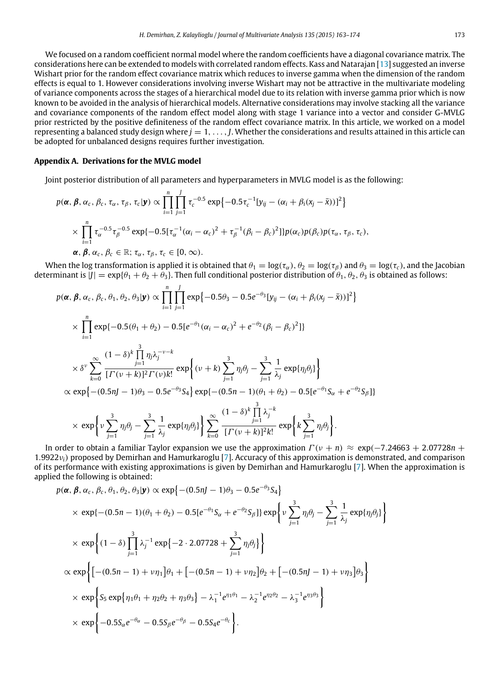We focused on a random coefficient normal model where the random coefficients have a diagonal covariance matrix. The considerations here can be extended to models with correlated random effects. Kass and Natarajan [\[13\]](#page-11-26) suggested an inverse Wishart prior for the random effect covariance matrix which reduces to inverse gamma when the dimension of the random effects is equal to 1. However considerations involving inverse Wishart may not be attractive in the multivariate modeling of variance components across the stages of a hierarchical model due to its relation with inverse gamma prior which is now known to be avoided in the analysis of hierarchical models. Alternative considerations may involve stacking all the variance and covariance components of the random effect model along with stage 1 variance into a vector and consider G-MVLG prior restricted by the positive definiteness of the random effect covariance matrix. In this article, we worked on a model representing a balanced study design where  $j = 1, \ldots, J$ . Whether the considerations and results attained in this article can be adopted for unbalanced designs requires further investigation.

# **Appendix A. Derivations for the MVLG model**

<span id="page-10-0"></span>Joint posterior distribution of all parameters and hyperparameters in MVLG model is as the following:

$$
p(\boldsymbol{\alpha}, \boldsymbol{\beta}, \alpha_c, \beta_c, \tau_{\alpha}, \tau_{\beta}, \tau_c | \mathbf{y}) \propto \prod_{i=1}^n \prod_{j=1}^J \tau_c^{-0.5} \exp\{-0.5 \tau_c^{-1} [y_{ij} - (\alpha_i + \beta_i (x_j - \bar{x}))]^2\}
$$
  
 
$$
\times \prod_{i=1}^n \tau_{\alpha}^{-0.5} \tau_{\beta}^{-0.5} \exp\{-0.5 [\tau_{\alpha}^{-1} (\alpha_i - \alpha_c)^2 + \tau_{\beta}^{-1} (\beta_i - \beta_c)^2]\} p(\alpha_c) p(\beta_c) p(\tau_{\alpha}, \tau_{\beta}, \tau_c),
$$
  
 
$$
\boldsymbol{\alpha}, \boldsymbol{\beta}, \alpha_c, \beta_c \in \mathbb{R}; \tau_{\alpha}, \tau_{\beta}, \tau_c \in [0, \infty).
$$

When the log transformation is applied it is obtained that  $\theta_1 = \log(\tau_\alpha)$ ,  $\theta_2 = \log(\tau_\beta)$  and  $\theta_3 = \log(\tau_c)$ , and the Jacobian determinant is  $|J| = \exp{\{\theta_1 + \theta_2 + \theta_3\}}$ . Then full conditional posterior distribution of  $\theta_1, \theta_2, \theta_3$  is obtained as follows:

$$
p(\alpha, \beta, \alpha_c, \beta_c, \theta_1, \theta_2, \theta_3 | \mathbf{y}) \propto \prod_{i=1}^n \prod_{j=1}^J \exp\{-0.5\theta_3 - 0.5e^{-\theta_3} [y_{ij} - (\alpha_i + \beta_i(x_j - \bar{x}))]^2\}
$$
  

$$
\times \prod_{i=1}^n \exp\{-0.5(\theta_1 + \theta_2) - 0.5[e^{-\theta_1}(\alpha_i - \alpha_c)^2 + e^{-\theta_2}(\beta_i - \beta_c)^2]\}
$$
  

$$
\times \delta^{\nu} \sum_{k=0}^\infty \frac{(1-\delta)^k \prod_{j=1}^3 \eta_j \lambda_j^{-\nu-k}}{[\Gamma(\nu+k)]^2 \Gamma(\nu) k!} \exp\left\{ (\nu+k) \sum_{j=1}^3 \eta_j \theta_j - \sum_{j=1}^3 \frac{1}{\lambda_j} \exp\{\eta_j \theta_j\} \right\}
$$
  

$$
\propto \exp\{-(0.5nJ - 1)\theta_3 - 0.5e^{-\theta_3} S_4\} \exp\{-(0.5n - 1)(\theta_1 + \theta_2) - 0.5[e^{-\theta_1} S_\alpha + e^{-\theta_2} S_\beta]\}
$$
  

$$
\times \exp\left\{\nu \sum_{j=1}^3 \eta_j \theta_j - \sum_{j=1}^3 \frac{1}{\lambda_j} \exp\{\eta_j \theta_j\} \right\} \sum_{k=0}^\infty \frac{(1-\delta)^k \prod_{j=1}^3 \lambda_j^{-k}}{[\Gamma(\nu+k)]^2 k!} \exp\left\{k \sum_{j=1}^3 \eta_j \theta_j\right\}.
$$

In order to obtain a familiar Taylor expansion we use the approximation  $\Gamma(\nu + n) \approx \exp(-7.24663 + 2.07728n +$ 1.9922ν*i*) proposed by Demirhan and Hamurkaroglu [\[7\]](#page-11-16). Accuracy of this approximation is demonstrated, and comparison of its performance with existing approximations is given by Demirhan and Hamurkaroglu [\[7\]](#page-11-16). When the approximation is applied the following is obtained:

$$
p(\alpha, \beta, \alpha_c, \beta_c, \theta_1, \theta_2, \theta_3 | \mathbf{y}) \propto \exp \left\{ -(0.5nJ - 1)\theta_3 - 0.5e^{-\theta_3} S_4 \right\}
$$
  
\$\times \exp\{ -(0.5n - 1)(\theta\_1 + \theta\_2) - 0.5[e^{-\theta\_1} S\_{\alpha} + e^{-\theta\_2} S\_{\beta}]\} \exp \left\{ \nu \sum\_{j=1}^3 \eta\_j \theta\_j - \sum\_{j=1}^3 \frac{1}{\lambda\_j} \exp \{\eta\_j \theta\_j\} \right\}  
\$\times \exp \left\{ (1 - \delta) \prod\_{j=1}^3 \lambda\_j^{-1} \exp \{-2 \cdot 2.07728 + \sum\_{j=1}^3 \eta\_j \theta\_j\} \right\}  
\$\times \exp \left\{ \left[ -(0.5n - 1) + \nu \eta\_1 \right] \theta\_1 + \left[ -(0.5n - 1) + \nu \eta\_2 \right] \theta\_2 + \left[ -(0.5nJ - 1) + \nu \eta\_3 \right] \theta\_3 \right\}  
\$\times \exp \left\{ S\_5 \exp \{\eta\_1 \theta\_1 + \eta\_2 \theta\_2 + \eta\_3 \theta\_3\} - \lambda\_1^{-1} e^{\eta\_1 \theta\_1} - \lambda\_2^{-1} e^{\eta\_2 \theta\_2} - \lambda\_3^{-1} e^{\eta\_3 \theta\_3} \right\}  
\$\times \exp \left\{ -0.5S\_{\alpha} e^{-\theta\_{\alpha}} - 0.5S\_{\beta} e^{-\theta\_{\beta}} - 0.5S\_{4} e^{-\theta\_{c}} \right\}.